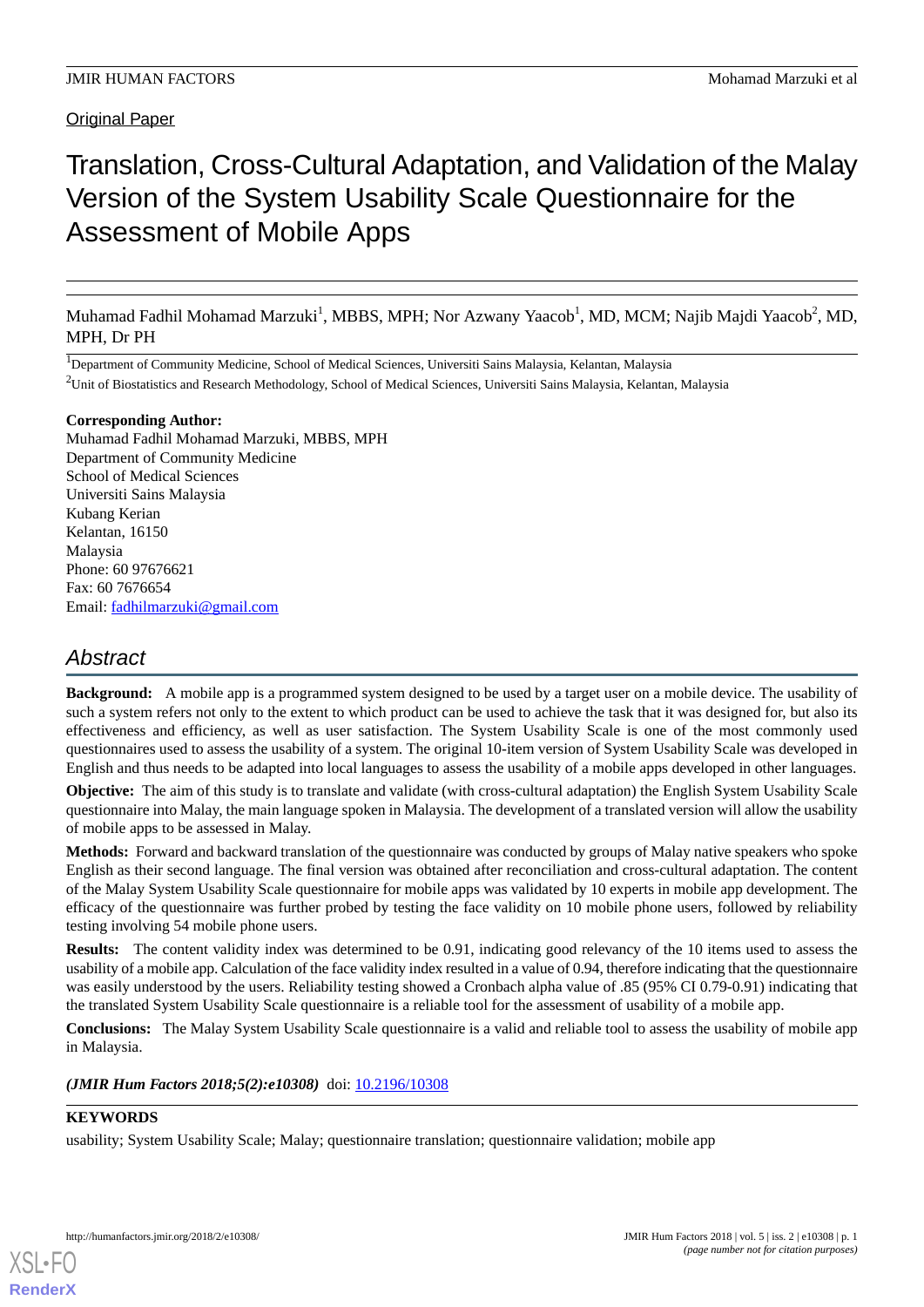Original Paper

# Translation, Cross-Cultural Adaptation, and Validation of the Malay Version of the System Usability Scale Questionnaire for the Assessment of Mobile Apps

Muhamad Fadhil Mohamad Marzuki<sup>1</sup>, MBBS, MPH; Nor Azwany Yaacob<sup>1</sup>, MD, MCM; Najib Majdi Yaacob<sup>2</sup>, MD, MPH, Dr PH

<sup>1</sup>Department of Community Medicine, School of Medical Sciences, Universiti Sains Malaysia, Kelantan, Malaysia <sup>2</sup>Unit of Biostatistics and Research Methodology, School of Medical Sciences, Universiti Sains Malaysia, Kelantan, Malaysia

**Corresponding Author:**

Muhamad Fadhil Mohamad Marzuki, MBBS, MPH Department of Community Medicine School of Medical Sciences Universiti Sains Malaysia Kubang Kerian Kelantan, 16150 Malaysia Phone: 60 97676621 Fax: 60 7676654 Email: [fadhilmarzuki@gmail.com](mailto:fadhilmarzuki@gmail.com)

# *Abstract*

**Background:** A mobile app is a programmed system designed to be used by a target user on a mobile device. The usability of such a system refers not only to the extent to which product can be used to achieve the task that it was designed for, but also its effectiveness and efficiency, as well as user satisfaction. The System Usability Scale is one of the most commonly used questionnaires used to assess the usability of a system. The original 10-item version of System Usability Scale was developed in English and thus needs to be adapted into local languages to assess the usability of a mobile apps developed in other languages.

**Objective:** The aim of this study is to translate and validate (with cross-cultural adaptation) the English System Usability Scale questionnaire into Malay, the main language spoken in Malaysia. The development of a translated version will allow the usability of mobile apps to be assessed in Malay.

**Methods:** Forward and backward translation of the questionnaire was conducted by groups of Malay native speakers who spoke English as their second language. The final version was obtained after reconciliation and cross-cultural adaptation. The content of the Malay System Usability Scale questionnaire for mobile apps was validated by 10 experts in mobile app development. The efficacy of the questionnaire was further probed by testing the face validity on 10 mobile phone users, followed by reliability testing involving 54 mobile phone users.

**Results:** The content validity index was determined to be 0.91, indicating good relevancy of the 10 items used to assess the usability of a mobile app. Calculation of the face validity index resulted in a value of 0.94, therefore indicating that the questionnaire was easily understood by the users. Reliability testing showed a Cronbach alpha value of .85 (95% CI 0.79-0.91) indicating that the translated System Usability Scale questionnaire is a reliable tool for the assessment of usability of a mobile app.

**Conclusions:** The Malay System Usability Scale questionnaire is a valid and reliable tool to assess the usability of mobile app in Malaysia.

*(JMIR Hum Factors 2018;5(2):e10308)* doi: [10.2196/10308](http://dx.doi.org/10.2196/10308)

### **KEYWORDS**

usability; System Usability Scale; Malay; questionnaire translation; questionnaire validation; mobile app

**[RenderX](http://www.renderx.com/)**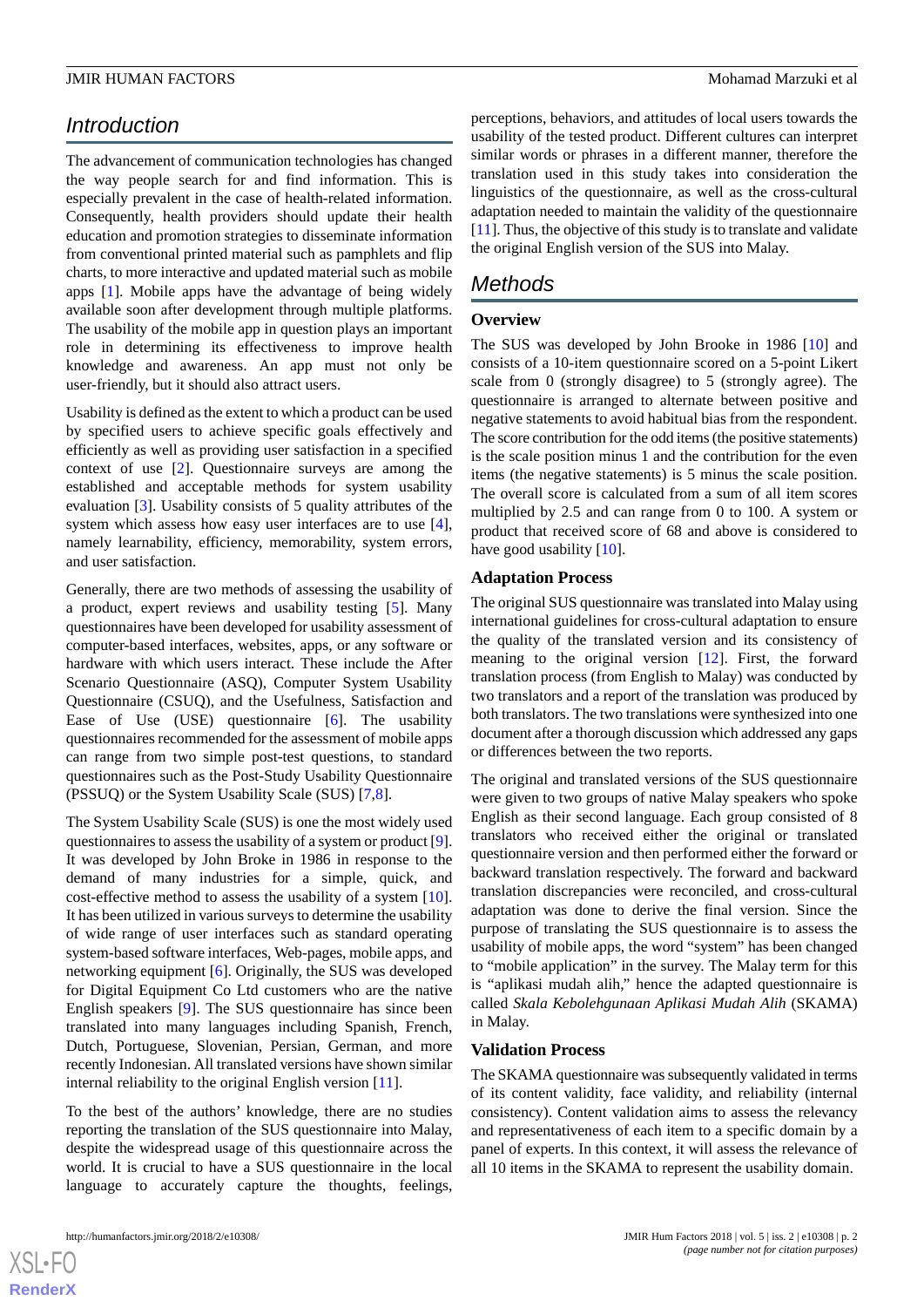# *Introduction*

The advancement of communication technologies has changed the way people search for and find information. This is especially prevalent in the case of health-related information. Consequently, health providers should update their health education and promotion strategies to disseminate information from conventional printed material such as pamphlets and flip charts, to more interactive and updated material such as mobile apps [[1\]](#page-5-0). Mobile apps have the advantage of being widely available soon after development through multiple platforms. The usability of the mobile app in question plays an important role in determining its effectiveness to improve health knowledge and awareness. An app must not only be user-friendly, but it should also attract users.

Usability is defined as the extent to which a product can be used by specified users to achieve specific goals effectively and efficiently as well as providing user satisfaction in a specified context of use [\[2](#page-5-1)]. Questionnaire surveys are among the established and acceptable methods for system usability evaluation [[3\]](#page-5-2). Usability consists of 5 quality attributes of the system which assess how easy user interfaces are to use [[4\]](#page-5-3), namely learnability, efficiency, memorability, system errors, and user satisfaction.

Generally, there are two methods of assessing the usability of a product, expert reviews and usability testing [\[5](#page-5-4)]. Many questionnaires have been developed for usability assessment of computer-based interfaces, websites, apps, or any software or hardware with which users interact. These include the After Scenario Questionnaire (ASQ), Computer System Usability Questionnaire (CSUQ), and the Usefulness, Satisfaction and Ease of Use (USE) questionnaire [[6\]](#page-5-5). The usability questionnaires recommended for the assessment of mobile apps can range from two simple post-test questions, to standard questionnaires such as the Post-Study Usability Questionnaire (PSSUQ) or the System Usability Scale (SUS) [\[7,](#page-5-6)[8\]](#page-5-7).

The System Usability Scale (SUS) is one the most widely used questionnaires to assess the usability of a system or product [[9\]](#page-6-0). It was developed by John Broke in 1986 in response to the demand of many industries for a simple, quick, and cost-effective method to assess the usability of a system [[10\]](#page-6-1). It has been utilized in various surveys to determine the usability of wide range of user interfaces such as standard operating system-based software interfaces, Web-pages, mobile apps, and networking equipment [[6\]](#page-5-5). Originally, the SUS was developed for Digital Equipment Co Ltd customers who are the native English speakers [\[9](#page-6-0)]. The SUS questionnaire has since been translated into many languages including Spanish, French, Dutch, Portuguese, Slovenian, Persian, German, and more recently Indonesian. All translated versions have shown similar internal reliability to the original English version [[11\]](#page-6-2).

To the best of the authors' knowledge, there are no studies reporting the translation of the SUS questionnaire into Malay, despite the widespread usage of this questionnaire across the world. It is crucial to have a SUS questionnaire in the local language to accurately capture the thoughts, feelings,

perceptions, behaviors, and attitudes of local users towards the usability of the tested product. Different cultures can interpret similar words or phrases in a different manner, therefore the translation used in this study takes into consideration the linguistics of the questionnaire, as well as the cross-cultural adaptation needed to maintain the validity of the questionnaire [[11\]](#page-6-2). Thus, the objective of this study is to translate and validate the original English version of the SUS into Malay.

# *Methods*

### **Overview**

The SUS was developed by John Brooke in 1986 [[10\]](#page-6-1) and consists of a 10-item questionnaire scored on a 5-point Likert scale from 0 (strongly disagree) to 5 (strongly agree). The questionnaire is arranged to alternate between positive and negative statements to avoid habitual bias from the respondent. The score contribution for the odd items (the positive statements) is the scale position minus 1 and the contribution for the even items (the negative statements) is 5 minus the scale position. The overall score is calculated from a sum of all item scores multiplied by 2.5 and can range from 0 to 100. A system or product that received score of 68 and above is considered to have good usability [\[10](#page-6-1)].

### **Adaptation Process**

The original SUS questionnaire was translated into Malay using international guidelines for cross-cultural adaptation to ensure the quality of the translated version and its consistency of meaning to the original version [\[12](#page-6-3)]. First, the forward translation process (from English to Malay) was conducted by two translators and a report of the translation was produced by both translators. The two translations were synthesized into one document after a thorough discussion which addressed any gaps or differences between the two reports.

The original and translated versions of the SUS questionnaire were given to two groups of native Malay speakers who spoke English as their second language. Each group consisted of 8 translators who received either the original or translated questionnaire version and then performed either the forward or backward translation respectively. The forward and backward translation discrepancies were reconciled, and cross-cultural adaptation was done to derive the final version. Since the purpose of translating the SUS questionnaire is to assess the usability of mobile apps, the word "system" has been changed to "mobile application" in the survey. The Malay term for this is "aplikasi mudah alih," hence the adapted questionnaire is called *Skala Kebolehgunaan Aplikasi Mudah Alih* (SKAMA) in Malay.

### **Validation Process**

The SKAMA questionnaire was subsequently validated in terms of its content validity, face validity, and reliability (internal consistency). Content validation aims to assess the relevancy and representativeness of each item to a specific domain by a panel of experts. In this context, it will assess the relevance of all 10 items in the SKAMA to represent the usability domain.

 $XSI - F($ **[RenderX](http://www.renderx.com/)**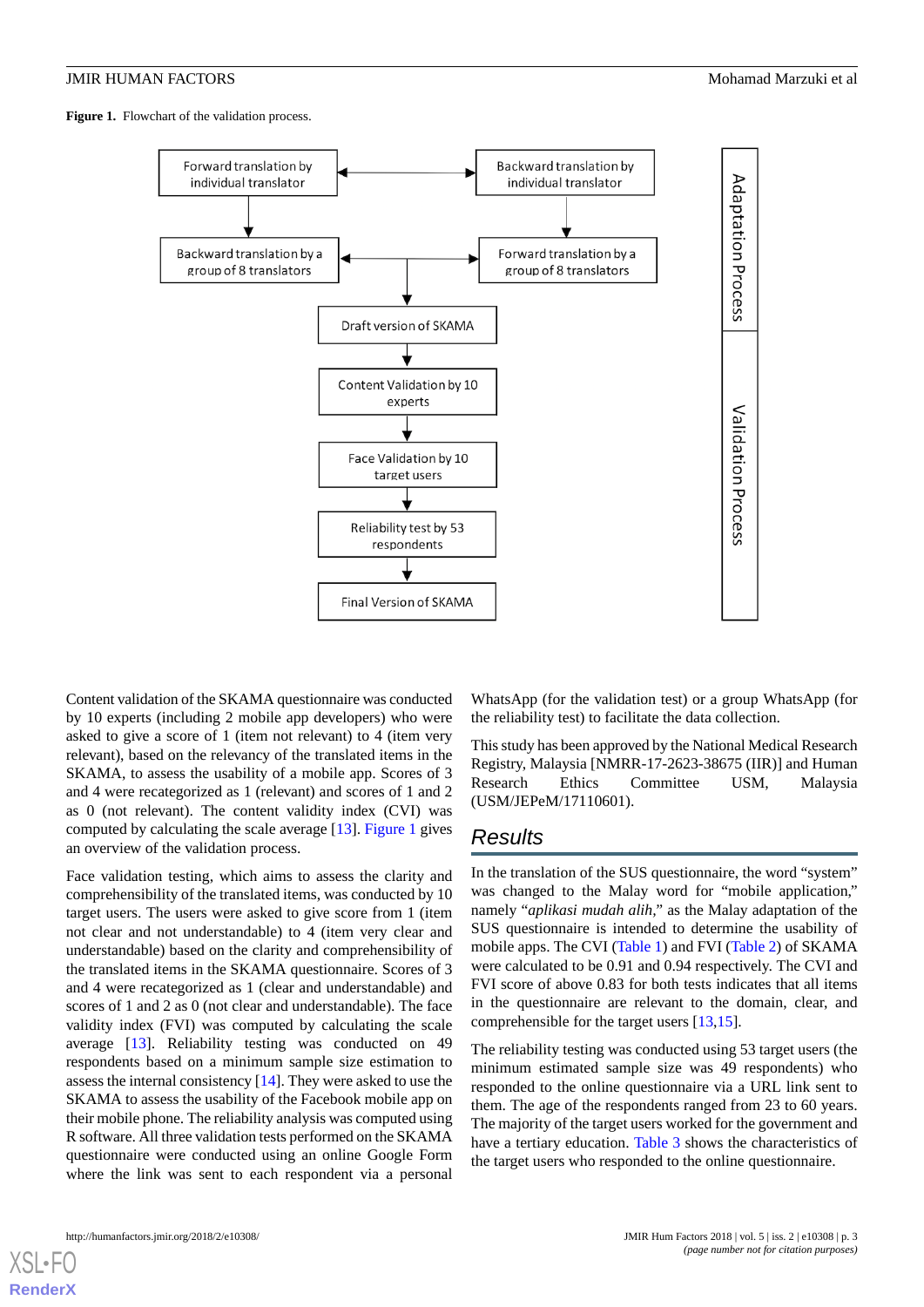<span id="page-2-0"></span>Figure 1. Flowchart of the validation process.



Content validation of the SKAMA questionnaire was conducted by 10 experts (including 2 mobile app developers) who were asked to give a score of 1 (item not relevant) to 4 (item very relevant), based on the relevancy of the translated items in the SKAMA, to assess the usability of a mobile app. Scores of 3 and 4 were recategorized as 1 (relevant) and scores of 1 and 2 as 0 (not relevant). The content validity index (CVI) was computed by calculating the scale average [[13\]](#page-6-4). [Figure 1](#page-2-0) gives an overview of the validation process.

Face validation testing, which aims to assess the clarity and comprehensibility of the translated items, was conducted by 10 target users. The users were asked to give score from 1 (item not clear and not understandable) to 4 (item very clear and understandable) based on the clarity and comprehensibility of the translated items in the SKAMA questionnaire. Scores of 3 and 4 were recategorized as 1 (clear and understandable) and scores of 1 and 2 as 0 (not clear and understandable). The face validity index (FVI) was computed by calculating the scale average [\[13](#page-6-4)]. Reliability testing was conducted on 49 respondents based on a minimum sample size estimation to assess the internal consistency [[14\]](#page-6-5). They were asked to use the SKAMA to assess the usability of the Facebook mobile app on their mobile phone. The reliability analysis was computed using R software. All three validation tests performed on the SKAMA questionnaire were conducted using an online Google Form where the link was sent to each respondent via a personal

WhatsApp (for the validation test) or a group WhatsApp (for the reliability test) to facilitate the data collection.

This study has been approved by the National Medical Research Registry, Malaysia [NMRR-17-2623-38675 (IIR)] and Human Research Ethics Committee USM, Malaysia (USM/JEPeM/17110601).

### *Results*

In the translation of the SUS questionnaire, the word "system" was changed to the Malay word for "mobile application," namely "*aplikasi mudah alih,"* as the Malay adaptation of the SUS questionnaire is intended to determine the usability of mobile apps. The CVI ([Table 1\)](#page-3-0) and FVI [\(Table 2](#page-3-1)) of SKAMA were calculated to be 0.91 and 0.94 respectively. The CVI and FVI score of above 0.83 for both tests indicates that all items in the questionnaire are relevant to the domain, clear, and comprehensible for the target users [[13](#page-6-4)[,15](#page-6-6)].

The reliability testing was conducted using 53 target users (the minimum estimated sample size was 49 respondents) who responded to the online questionnaire via a URL link sent to them. The age of the respondents ranged from 23 to 60 years. The majority of the target users worked for the government and have a tertiary education. [Table 3](#page-4-0) shows the characteristics of the target users who responded to the online questionnaire.

[XSL](http://www.w3.org/Style/XSL)•FO **[RenderX](http://www.renderx.com/)**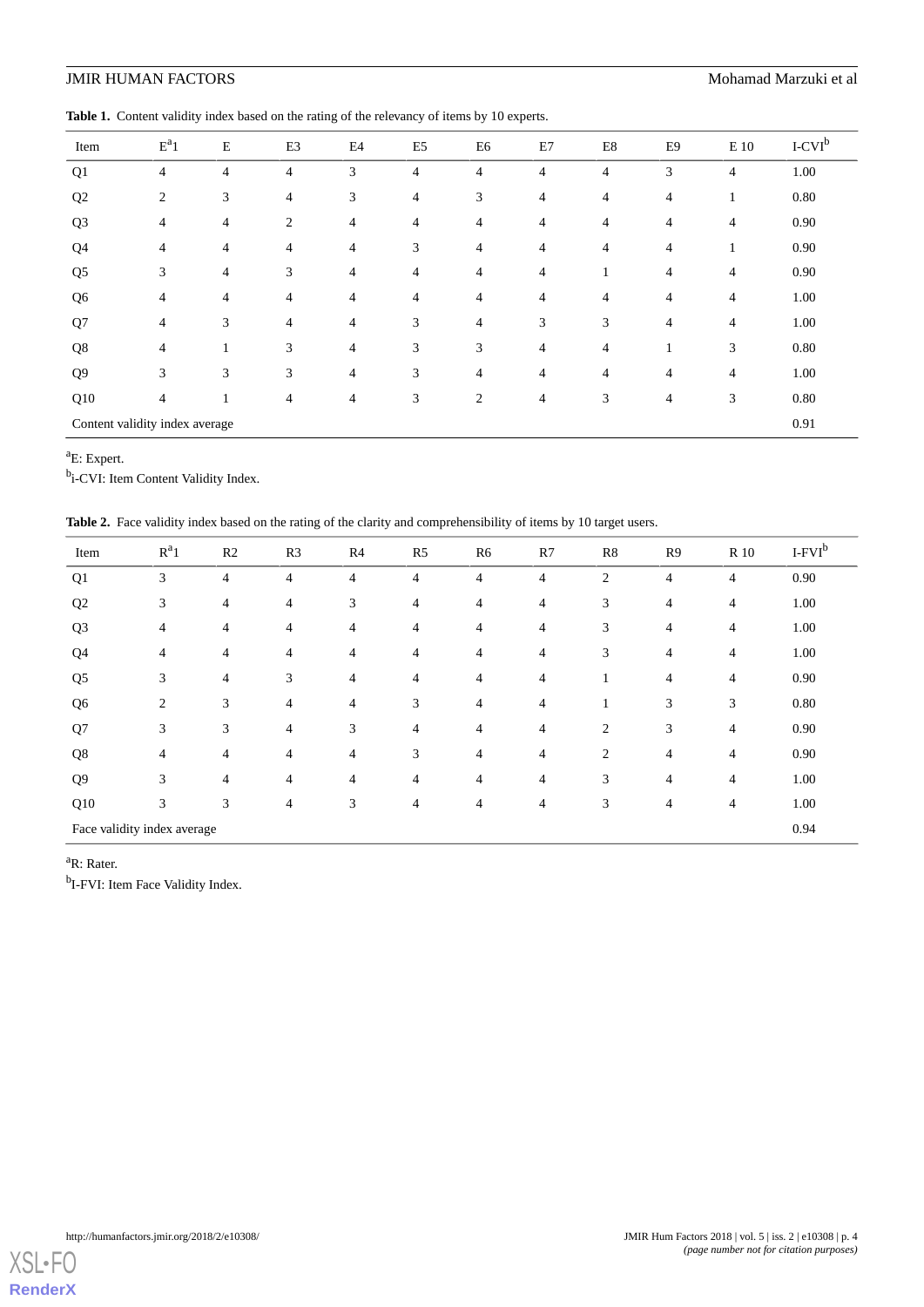<span id="page-3-0"></span>Table 1. Content validity index based on the rating of the relevancy of items by 10 experts.

| Item                           | $E^a1$         | E              | E <sub>3</sub> | E4             | E <sub>5</sub> | E6             | E7             | E8             | E9             | $\to$ 10       | $I-CVIb$ |
|--------------------------------|----------------|----------------|----------------|----------------|----------------|----------------|----------------|----------------|----------------|----------------|----------|
| Q <sub>1</sub>                 | 4              | $\overline{4}$ | $\overline{4}$ | 3              | $\overline{4}$ | $\overline{4}$ | $\overline{4}$ | $\overline{4}$ | 3              | $\overline{4}$ | 1.00     |
| Q2                             | $\overline{c}$ | 3              | $\overline{4}$ | 3              | $\overline{4}$ | 3              | $\overline{4}$ | $\overline{4}$ | $\overline{4}$ | -1             | 0.80     |
| Q <sub>3</sub>                 | $\overline{4}$ | $\overline{4}$ | 2              | $\overline{4}$ | $\overline{4}$ | 4              | $\overline{4}$ | $\overline{4}$ | $\overline{4}$ | $\overline{4}$ | 0.90     |
| Q <sub>4</sub>                 | $\overline{4}$ | $\overline{4}$ | $\overline{4}$ | $\overline{4}$ | 3              | 4              | $\overline{4}$ | $\overline{4}$ | $\overline{4}$ |                | 0.90     |
| Q <sub>5</sub>                 | 3              | $\overline{4}$ | 3              | 4              | $\overline{4}$ | $\overline{4}$ | $\overline{4}$ | $\mathbf{1}$   | $\overline{4}$ | $\overline{4}$ | 0.90     |
| Q <sub>6</sub>                 | 4              | $\overline{4}$ | $\overline{4}$ | 4              | $\overline{4}$ | $\overline{4}$ | $\overline{4}$ | $\overline{4}$ | $\overline{4}$ | $\overline{4}$ | 1.00     |
| Q7                             | 4              | 3              | $\overline{4}$ | $\overline{4}$ | 3              | $\overline{4}$ | 3              | 3              | $\overline{4}$ | $\overline{4}$ | 1.00     |
| Q8                             | $\overline{4}$ | 1              | 3              | $\overline{4}$ | 3              | 3              | $\overline{4}$ | $\overline{4}$ |                | 3              | 0.80     |
| Q <sub>9</sub>                 | 3              | 3              | 3              | $\overline{4}$ | 3              | $\overline{4}$ | $\overline{4}$ | $\overline{4}$ | $\overline{4}$ | $\overline{4}$ | 1.00     |
| Q10                            | $\overline{4}$ | 1              | 4              | 4              | 3              | 2              | $\overline{4}$ | 3              | $\overline{4}$ | 3              | 0.80     |
| Content validity index average |                |                |                |                |                |                |                |                | 0.91           |                |          |

<sup>a</sup>E: Expert.

<span id="page-3-1"></span><sup>b</sup>i-CVI: Item Content Validity Index.

Table 2. Face validity index based on the rating of the clarity and comprehensibility of items by 10 target users.

| Item                        | $R^a1$         | R2             | R <sub>3</sub> | R4             | R <sub>5</sub> | R <sub>6</sub> | R7             | R8             | R <sub>9</sub> | <b>R</b> 10    | $I-FVIb$ |
|-----------------------------|----------------|----------------|----------------|----------------|----------------|----------------|----------------|----------------|----------------|----------------|----------|
| Q1                          | 3              | $\overline{4}$ | $\overline{4}$ | $\overline{4}$ | $\overline{4}$ | 4              | 4              | $\overline{2}$ | $\overline{4}$ | $\overline{4}$ | 0.90     |
| Q <sub>2</sub>              | 3              | 4              | 4              | 3              | 4              | $\overline{4}$ | $\overline{4}$ | 3              | 4              | $\overline{4}$ | 1.00     |
| Q <sub>3</sub>              | $\overline{4}$ | 4              | 4              | 4              | $\overline{4}$ | $\overline{4}$ | $\overline{4}$ | 3              | 4              | $\overline{4}$ | 1.00     |
| Q <sub>4</sub>              | $\overline{4}$ | 4              | 4              | 4              | 4              | $\overline{4}$ | $\overline{4}$ | 3              | 4              | $\overline{4}$ | 1.00     |
| Q <sub>5</sub>              | 3              | 4              | 3              | 4              | 4              | $\overline{4}$ | $\overline{4}$ | 1              | 4              | $\overline{4}$ | 0.90     |
| Q <sub>6</sub>              | $\overline{c}$ | 3              | 4              | 4              | 3              | $\overline{4}$ | $\overline{4}$ |                | 3              | 3              | 0.80     |
| Q7                          | 3              | 3              | $\overline{4}$ | 3              | $\overline{4}$ | $\overline{4}$ | $\overline{4}$ | 2              | 3              | $\overline{4}$ | 0.90     |
| Q8                          | $\overline{4}$ | 4              | 4              | $\overline{4}$ | 3              | $\overline{4}$ | $\overline{4}$ | 2              | $\overline{4}$ | $\overline{4}$ | 0.90     |
| Q <sub>9</sub>              | 3              | 4              | 4              | 4              | 4              | $\overline{4}$ | $\overline{4}$ | 3              | 4              | $\overline{4}$ | 1.00     |
| Q10                         | 3              | 3              | $\overline{4}$ | 3              | 4              | 4              | $\overline{4}$ | 3              | 4              | $\overline{4}$ | 1.00     |
| Face validity index average |                |                |                |                |                |                |                |                | 0.94           |                |          |

<sup>a</sup>R: Rater.

<sup>b</sup>I-FVI: Item Face Validity Index.

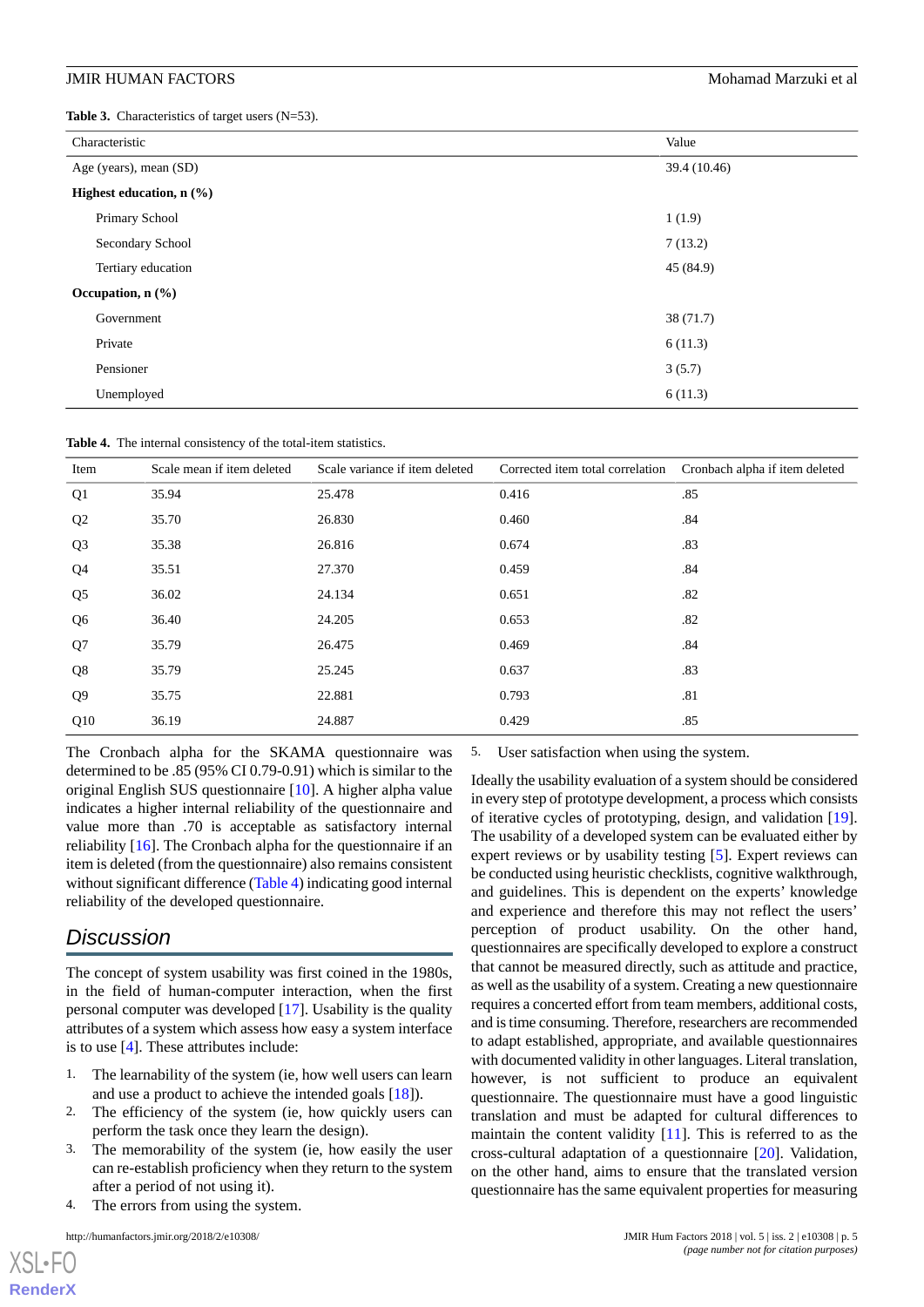### **JMIR HUMAN FACTORS** Mohamad Marzuki et al. **Mohamad Marzuki et al.** Mohamad Marzuki et al.

<span id="page-4-0"></span>Table 3. Characteristics of target users (N=53).

| Characteristic                         | Value        |
|----------------------------------------|--------------|
| Age (years), mean (SD)                 | 39.4 (10.46) |
| Highest education, $n$ $(\frac{9}{6})$ |              |
| Primary School                         | 1(1.9)       |
| Secondary School                       | 7(13.2)      |
| Tertiary education                     | 45 (84.9)    |
| Occupation, $n$ $(\frac{9}{6})$        |              |
| Government                             | 38 (71.7)    |
| Private                                | 6(11.3)      |
| Pensioner                              | 3(5.7)       |
| Unemployed                             | 6(11.3)      |

<span id="page-4-1"></span>**Table 4.** The internal consistency of the total-item statistics.

| Item           | Scale mean if item deleted | Scale variance if item deleted | Corrected item total correlation | Cronbach alpha if item deleted |
|----------------|----------------------------|--------------------------------|----------------------------------|--------------------------------|
| Q <sub>1</sub> | 35.94                      | 25.478                         | 0.416                            | .85                            |
| Q <sub>2</sub> | 35.70                      | 26.830                         | 0.460                            | .84                            |
| Q <sub>3</sub> | 35.38                      | 26.816                         | 0.674                            | .83                            |
| Q <sub>4</sub> | 35.51                      | 27.370                         | 0.459                            | .84                            |
| Q <sub>5</sub> | 36.02                      | 24.134                         | 0.651                            | .82                            |
| Q <sub>6</sub> | 36.40                      | 24.205                         | 0.653                            | .82                            |
| Q7             | 35.79                      | 26.475                         | 0.469                            | .84                            |
| Q8             | 35.79                      | 25.245                         | 0.637                            | .83                            |
| Q <sub>9</sub> | 35.75                      | 22.881                         | 0.793                            | .81                            |
| Q10            | 36.19                      | 24.887                         | 0.429                            | .85                            |

The Cronbach alpha for the SKAMA questionnaire was determined to be .85 (95% CI 0.79-0.91) which is similar to the original English SUS questionnaire [[10\]](#page-6-1). A higher alpha value indicates a higher internal reliability of the questionnaire and value more than .70 is acceptable as satisfactory internal reliability [\[16](#page-6-7)]. The Cronbach alpha for the questionnaire if an item is deleted (from the questionnaire) also remains consistent without significant difference ([Table 4](#page-4-1)) indicating good internal reliability of the developed questionnaire.

## *Discussion*

The concept of system usability was first coined in the 1980s, in the field of human-computer interaction, when the first personal computer was developed [\[17](#page-6-8)]. Usability is the quality attributes of a system which assess how easy a system interface is to use [\[4](#page-5-3)]. These attributes include:

- 1. The learnability of the system (ie, how well users can learn and use a product to achieve the intended goals [[18\]](#page-6-9)).
- 2. The efficiency of the system (ie, how quickly users can perform the task once they learn the design).
- 3. The memorability of the system (ie, how easily the user can re-establish proficiency when they return to the system after a period of not using it).
- 4. The errors from using the system.

[XSL](http://www.w3.org/Style/XSL)•FO **[RenderX](http://www.renderx.com/)**

5. User satisfaction when using the system.

Ideally the usability evaluation of a system should be considered in every step of prototype development, a process which consists of iterative cycles of prototyping, design, and validation [[19\]](#page-6-10). The usability of a developed system can be evaluated either by expert reviews or by usability testing [\[5](#page-5-4)]. Expert reviews can be conducted using heuristic checklists, cognitive walkthrough, and guidelines. This is dependent on the experts' knowledge and experience and therefore this may not reflect the users' perception of product usability. On the other hand, questionnaires are specifically developed to explore a construct that cannot be measured directly, such as attitude and practice, as well as the usability of a system. Creating a new questionnaire requires a concerted effort from team members, additional costs, and is time consuming. Therefore, researchers are recommended to adapt established, appropriate, and available questionnaires with documented validity in other languages. Literal translation, however, is not sufficient to produce an equivalent questionnaire. The questionnaire must have a good linguistic translation and must be adapted for cultural differences to maintain the content validity [\[11](#page-6-2)]. This is referred to as the cross-cultural adaptation of a questionnaire [\[20](#page-6-11)]. Validation, on the other hand, aims to ensure that the translated version questionnaire has the same equivalent properties for measuring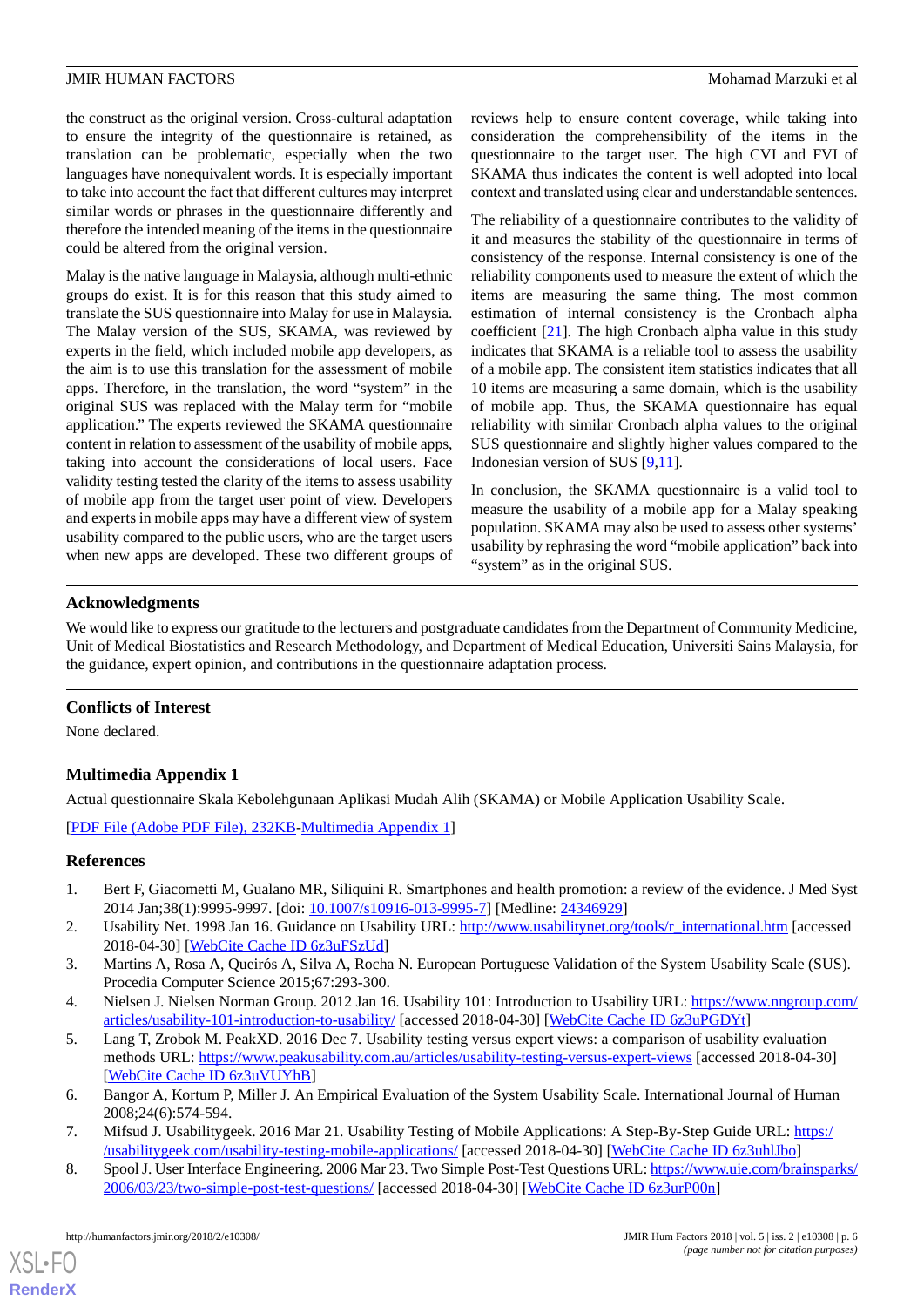the construct as the original version. Cross-cultural adaptation to ensure the integrity of the questionnaire is retained, as translation can be problematic, especially when the two languages have nonequivalent words. It is especially important to take into account the fact that different cultures may interpret similar words or phrases in the questionnaire differently and therefore the intended meaning of the items in the questionnaire could be altered from the original version.

Malay is the native language in Malaysia, although multi-ethnic groups do exist. It is for this reason that this study aimed to translate the SUS questionnaire into Malay for use in Malaysia. The Malay version of the SUS, SKAMA, was reviewed by experts in the field, which included mobile app developers, as the aim is to use this translation for the assessment of mobile apps. Therefore, in the translation, the word "system" in the original SUS was replaced with the Malay term for "mobile application." The experts reviewed the SKAMA questionnaire content in relation to assessment of the usability of mobile apps, taking into account the considerations of local users. Face validity testing tested the clarity of the items to assess usability of mobile app from the target user point of view. Developers and experts in mobile apps may have a different view of system usability compared to the public users, who are the target users when new apps are developed. These two different groups of reviews help to ensure content coverage, while taking into consideration the comprehensibility of the items in the questionnaire to the target user. The high CVI and FVI of SKAMA thus indicates the content is well adopted into local context and translated using clear and understandable sentences.

The reliability of a questionnaire contributes to the validity of it and measures the stability of the questionnaire in terms of consistency of the response. Internal consistency is one of the reliability components used to measure the extent of which the items are measuring the same thing. The most common estimation of internal consistency is the Cronbach alpha coefficient [\[21](#page-6-12)]. The high Cronbach alpha value in this study indicates that SKAMA is a reliable tool to assess the usability of a mobile app. The consistent item statistics indicates that all 10 items are measuring a same domain, which is the usability of mobile app. Thus, the SKAMA questionnaire has equal reliability with similar Cronbach alpha values to the original SUS questionnaire and slightly higher values compared to the Indonesian version of SUS [[9](#page-6-0)[,11](#page-6-2)].

In conclusion, the SKAMA questionnaire is a valid tool to measure the usability of a mobile app for a Malay speaking population. SKAMA may also be used to assess other systems' usability by rephrasing the word "mobile application" back into "system" as in the original SUS.

### **Acknowledgments**

We would like to express our gratitude to the lecturers and postgraduate candidates from the Department of Community Medicine, Unit of Medical Biostatistics and Research Methodology, and Department of Medical Education, Universiti Sains Malaysia, for the guidance, expert opinion, and contributions in the questionnaire adaptation process.

### **Conflicts of Interest**

None declared.

### **Multimedia Appendix 1**

<span id="page-5-0"></span>Actual questionnaire Skala Kebolehgunaan Aplikasi Mudah Alih (SKAMA) or Mobile Application Usability Scale.

<span id="page-5-1"></span>[[PDF File \(Adobe PDF File\), 232KB-Multimedia Appendix 1](https://jmir.org/api/download?alt_name=humanfactors_v5i2e10308_app1.pdf&filename=427e16b93f2c8f69564055741754949b.pdf)]

### <span id="page-5-2"></span>**References**

- <span id="page-5-3"></span>1. Bert F, Giacometti M, Gualano MR, Siliquini R. Smartphones and health promotion: a review of the evidence. J Med Syst 2014 Jan;38(1):9995-9997. [doi: [10.1007/s10916-013-9995-7\]](http://dx.doi.org/10.1007/s10916-013-9995-7) [Medline: [24346929](http://www.ncbi.nlm.nih.gov/entrez/query.fcgi?cmd=Retrieve&db=PubMed&list_uids=24346929&dopt=Abstract)]
- <span id="page-5-4"></span>2. Usability Net. 1998 Jan 16. Guidance on Usability URL: [http://www.usabilitynet.org/tools/r\\_international.htm](http://www.usabilitynet.org/tools/r_international.htm) [accessed 2018-04-30] [\[WebCite Cache ID 6z3uFSzUd](http://www.webcitation.org/

                                6z3uFSzUd)]
- 3. Martins A, Rosa A, Queirós A, Silva A, Rocha N. European Portuguese Validation of the System Usability Scale (SUS). Procedia Computer Science 2015;67:293-300.
- <span id="page-5-6"></span><span id="page-5-5"></span>4. Nielsen J. Nielsen Norman Group. 2012 Jan 16. Usability 101: Introduction to Usability URL: [https://www.nngroup.com/](https://www.nngroup.com/articles/usability-101-introduction-to-usability/) [articles/usability-101-introduction-to-usability/](https://www.nngroup.com/articles/usability-101-introduction-to-usability/) [accessed 2018-04-30] [[WebCite Cache ID 6z3uPGDYt\]](http://www.webcitation.org/

                                6z3uPGDYt)
- <span id="page-5-7"></span>5. Lang T, Zrobok M. PeakXD. 2016 Dec 7. Usability testing versus expert views: a comparison of usability evaluation methods URL:<https://www.peakusability.com.au/articles/usability-testing-versus-expert-views> [accessed 2018-04-30] [[WebCite Cache ID 6z3uVUYhB](http://www.webcitation.org/

                                6z3uVUYhB)]
- 6. Bangor A, Kortum P, Miller J. An Empirical Evaluation of the System Usability Scale. International Journal of Human 2008;24(6):574-594.
- 7. Mifsud J. Usabilitygeek. 2016 Mar 21. Usability Testing of Mobile Applications: A Step-By-Step Guide URL: [https:/](https://usabilitygeek.com/usability-testing-mobile-applications/) [/usabilitygeek.com/usability-testing-mobile-applications/](https://usabilitygeek.com/usability-testing-mobile-applications/) [accessed 2018-04-30] [\[WebCite Cache ID 6z3uhlJbo](http://www.webcitation.org/

                                6z3uhlJbo)]
- 8. Spool J. User Interface Engineering. 2006 Mar 23. Two Simple Post-Test Questions URL: [https://www.uie.com/brainsparks/](https://www.uie.com/brainsparks/2006/03/23/two-simple-post-test-questions/) [2006/03/23/two-simple-post-test-questions/](https://www.uie.com/brainsparks/2006/03/23/two-simple-post-test-questions/) [accessed 2018-04-30] [[WebCite Cache ID 6z3urP00n](http://www.webcitation.org/

                                6z3urP00n)]

[XSL](http://www.w3.org/Style/XSL)•FO **[RenderX](http://www.renderx.com/)**